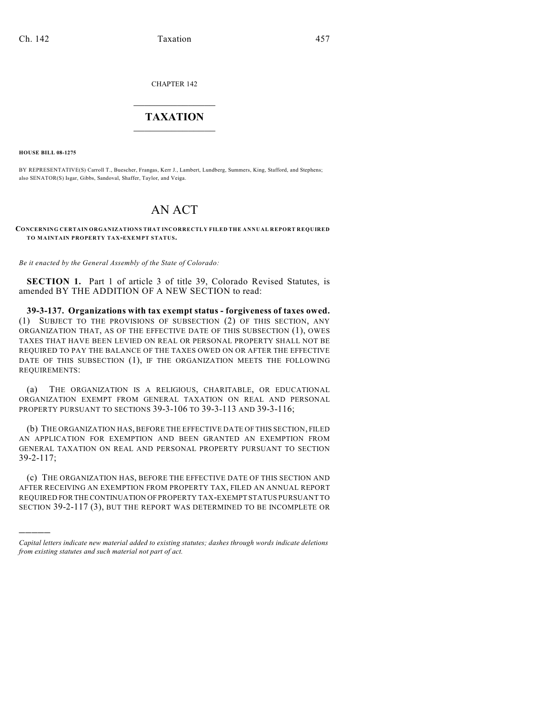CHAPTER 142

## $\overline{\phantom{a}}$  . The set of the set of the set of the set of the set of the set of the set of the set of the set of the set of the set of the set of the set of the set of the set of the set of the set of the set of the set o **TAXATION**  $\_$

**HOUSE BILL 08-1275**

)))))

BY REPRESENTATIVE(S) Carroll T., Buescher, Frangas, Kerr J., Lambert, Lundberg, Summers, King, Stafford, and Stephens; also SENATOR(S) Isgar, Gibbs, Sandoval, Shaffer, Taylor, and Veiga.

## AN ACT

## **CONCERNING CERTAIN ORGANIZATIONS THAT INCORRECTLY FILED THE ANNUAL REPORT REQUIRED TO MAINTAIN PROPERTY TAX-EXEMPT STATUS.**

*Be it enacted by the General Assembly of the State of Colorado:*

**SECTION 1.** Part 1 of article 3 of title 39, Colorado Revised Statutes, is amended BY THE ADDITION OF A NEW SECTION to read:

**39-3-137. Organizations with tax exempt status - forgiveness of taxes owed.** (1) SUBJECT TO THE PROVISIONS OF SUBSECTION (2) OF THIS SECTION, ANY ORGANIZATION THAT, AS OF THE EFFECTIVE DATE OF THIS SUBSECTION (1), OWES TAXES THAT HAVE BEEN LEVIED ON REAL OR PERSONAL PROPERTY SHALL NOT BE REQUIRED TO PAY THE BALANCE OF THE TAXES OWED ON OR AFTER THE EFFECTIVE DATE OF THIS SUBSECTION (1), IF THE ORGANIZATION MEETS THE FOLLOWING REQUIREMENTS:

(a) THE ORGANIZATION IS A RELIGIOUS, CHARITABLE, OR EDUCATIONAL ORGANIZATION EXEMPT FROM GENERAL TAXATION ON REAL AND PERSONAL PROPERTY PURSUANT TO SECTIONS 39-3-106 TO 39-3-113 AND 39-3-116;

(b) THE ORGANIZATION HAS, BEFORE THE EFFECTIVE DATE OF THIS SECTION, FILED AN APPLICATION FOR EXEMPTION AND BEEN GRANTED AN EXEMPTION FROM GENERAL TAXATION ON REAL AND PERSONAL PROPERTY PURSUANT TO SECTION 39-2-117;

(c) THE ORGANIZATION HAS, BEFORE THE EFFECTIVE DATE OF THIS SECTION AND AFTER RECEIVING AN EXEMPTION FROM PROPERTY TAX, FILED AN ANNUAL REPORT REQUIRED FOR THE CONTINUATION OF PROPERTY TAX-EXEMPT STATUS PURSUANT TO SECTION 39-2-117 (3), BUT THE REPORT WAS DETERMINED TO BE INCOMPLETE OR

*Capital letters indicate new material added to existing statutes; dashes through words indicate deletions from existing statutes and such material not part of act.*